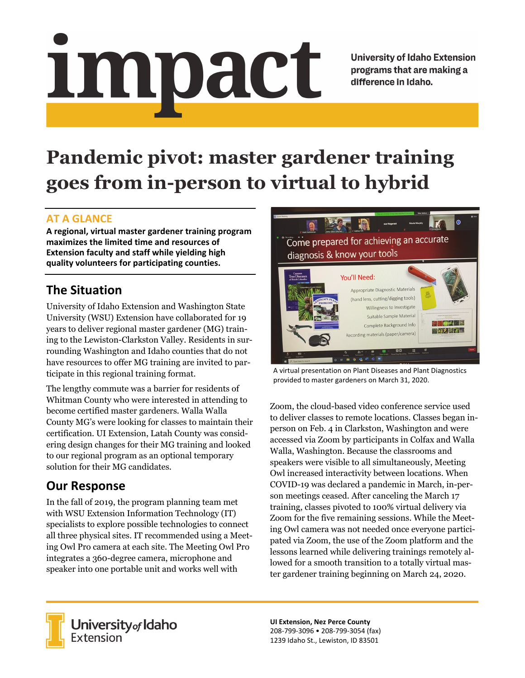# impact

**University of Idaho Extension** programs that are making a difference in Idaho.

# **Pandemic pivot: master gardener training goes from in-person to virtual to hybrid**

#### **AT A GLANCE**

**A regional, virtual master gardener training program maximizes the limited time and resources of Extension faculty and staff while yielding high quality volunteers for participating counties.**

## **The Situation**

University of Idaho Extension and Washington State University (WSU) Extension have collaborated for 19 years to deliver regional master gardener (MG) training to the Lewiston-Clarkston Valley. Residents in surrounding Washington and Idaho counties that do not have resources to offer MG training are invited to participate in this regional training format.

The lengthy commute was a barrier for residents of Whitman County who were interested in attending to become certified master gardeners. Walla Walla County MG's were looking for classes to maintain their certification. UI Extension, Latah County was considering design changes for their MG training and looked to our regional program as an optional temporary solution for their MG candidates.

### **Our Response**

In the fall of 2019, the program planning team met with WSU Extension Information Technology (IT) specialists to explore possible technologies to connect all three physical sites. IT recommended using a Meeting Owl Pro camera at each site. The Meeting Owl Pro integrates a 360-degree camera, microphone and speaker into one portable unit and works well with



A virtual presentation on Plant Diseases and Plant Diagnostics provided to master gardeners on March 31, 2020.

Zoom, the cloud-based video conference service used to deliver classes to remote locations. Classes began inperson on Feb. 4 in Clarkston, Washington and were accessed via Zoom by participants in Colfax and Walla Walla, Washington. Because the classrooms and speakers were visible to all simultaneously, Meeting Owl increased interactivity between locations. When COVID-19 was declared a pandemic in March, in-person meetings ceased. After canceling the March 17 training, classes pivoted to 100% virtual delivery via Zoom for the five remaining sessions. While the Meeting Owl camera was not needed once everyone participated via Zoom, the use of the Zoom platform and the lessons learned while delivering trainings remotely allowed for a smooth transition to a totally virtual master gardener training beginning on March 24, 2020.



University<sub>of</sub> Idaho Extension

**UI Extension, Nez Perce County** 208‐799‐3096 • 208‐799‐3054 (fax) 1239 Idaho St., Lewiston, ID 83501